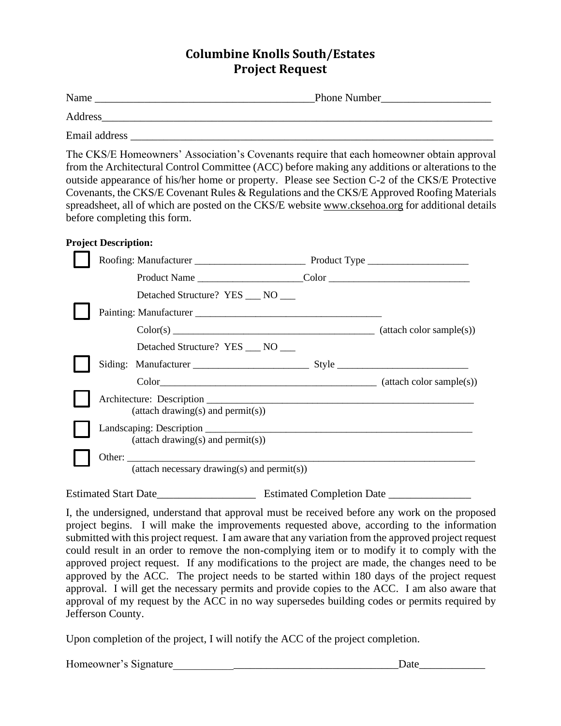## **Columbine Knolls South/Estates Project Request**

| Name    | <b>Phone Number</b> |
|---------|---------------------|
| Address |                     |

Email address \_\_\_\_\_\_\_\_\_\_\_\_\_\_\_\_\_\_\_\_\_\_\_\_\_\_\_\_\_\_\_\_\_\_\_\_\_\_\_\_\_\_\_\_\_\_\_\_\_\_\_\_\_\_\_\_\_\_\_\_\_\_\_\_\_\_

The CKS/E Homeowners' Association's Covenants require that each homeowner obtain approval from the Architectural Control Committee (ACC) before making any additions or alterations to the outside appearance of his/her home or property. Please see Section C-2 of the CKS/E Protective Covenants, the CKS/E Covenant Rules & Regulations and the CKS/E Approved Roofing Materials spreadsheet, all of which are posted on the CKS/E website [www.cksehoa.org](http://www.cksehoa.org/) for additional details before completing this form.

## **Project Description:**

|                                                                         | Detached Structure? YES ___ NO ___                         |  |  |
|-------------------------------------------------------------------------|------------------------------------------------------------|--|--|
|                                                                         |                                                            |  |  |
|                                                                         | $Color(s)$ $(attack)$                                      |  |  |
|                                                                         | Detached Structure? YES NO                                 |  |  |
|                                                                         |                                                            |  |  |
|                                                                         |                                                            |  |  |
| Architecture: Description<br>$\text{(attach drawing(s) and permit(s))}$ |                                                            |  |  |
|                                                                         | $(\text{attach drawing}(s) \text{ and } \text{permit}(s))$ |  |  |
|                                                                         | (attach necessary drawing(s) and permit(s))                |  |  |

Estimated Start Date \_\_\_\_\_\_\_\_\_\_\_\_\_\_\_\_\_\_\_\_\_\_\_\_\_\_\_ Estimated Completion Date \_\_\_\_\_\_\_\_\_\_\_\_

I, the undersigned, understand that approval must be received before any work on the proposed project begins. I will make the improvements requested above, according to the information submitted with this project request. I am aware that any variation from the approved project request could result in an order to remove the non-complying item or to modify it to comply with the approved project request. If any modifications to the project are made, the changes need to be approved by the ACC. The project needs to be started within 180 days of the project request approval. I will get the necessary permits and provide copies to the ACC. I am also aware that approval of my request by the ACC in no way supersedes building codes or permits required by Jefferson County.

Upon completion of the project, I will notify the ACC of the project completion.

| Homeowner's Signature |  |
|-----------------------|--|
|-----------------------|--|

Date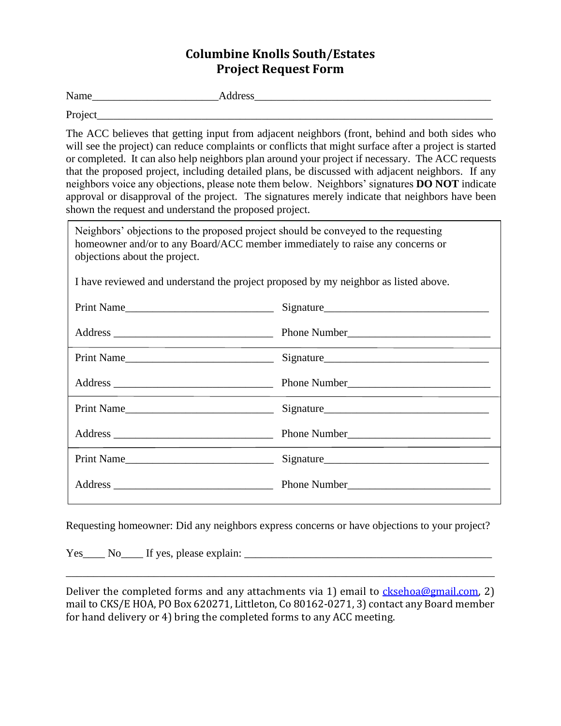## **Columbine Knolls South/Estates Project Request Form**

Name Address

Project

The ACC believes that getting input from adjacent neighbors (front, behind and both sides who will see the project) can reduce complaints or conflicts that might surface after a project is started or completed. It can also help neighbors plan around your project if necessary. The ACC requests that the proposed project, including detailed plans, be discussed with adjacent neighbors. If any neighbors voice any objections, please note them below. Neighbors' signatures **DO NOT** indicate approval or disapproval of the project. The signatures merely indicate that neighbors have been shown the request and understand the proposed project.

| Neighbors' objections to the proposed project should be conveyed to the requesting<br>homeowner and/or to any Board/ACC member immediately to raise any concerns or<br>objections about the project. |              |  |  |  |
|------------------------------------------------------------------------------------------------------------------------------------------------------------------------------------------------------|--------------|--|--|--|
| I have reviewed and understand the project proposed by my neighbor as listed above.                                                                                                                  |              |  |  |  |
|                                                                                                                                                                                                      |              |  |  |  |
|                                                                                                                                                                                                      |              |  |  |  |
| Print Name                                                                                                                                                                                           |              |  |  |  |
|                                                                                                                                                                                                      |              |  |  |  |
|                                                                                                                                                                                                      |              |  |  |  |
|                                                                                                                                                                                                      |              |  |  |  |
| Print Name                                                                                                                                                                                           |              |  |  |  |
|                                                                                                                                                                                                      | Phone Number |  |  |  |

Requesting homeowner: Did any neighbors express concerns or have objections to your project?

Yes\_\_\_\_ No\_\_\_\_ If yes, please explain: \_\_\_\_\_\_\_\_\_\_\_\_\_\_\_\_\_\_\_\_\_\_\_\_\_\_\_\_\_\_\_\_\_\_\_\_\_\_\_\_\_\_\_\_\_

Deliver the completed forms and any attachments via 1) email to  $\frac{ckseboa@gmail.com}{2}$ mail to CKS/E HOA, PO Box 620271, Littleton, Co 80162-0271, 3) contact any Board member for hand delivery or 4) bring the completed forms to any ACC meeting.

\_\_\_\_\_\_\_\_\_\_\_\_\_\_\_\_\_\_\_\_\_\_\_\_\_\_\_\_\_\_\_\_\_\_\_\_\_\_\_\_\_\_\_\_\_\_\_\_\_\_\_\_\_\_\_\_\_\_\_\_\_\_\_\_\_\_\_\_\_\_\_\_\_\_\_\_\_\_